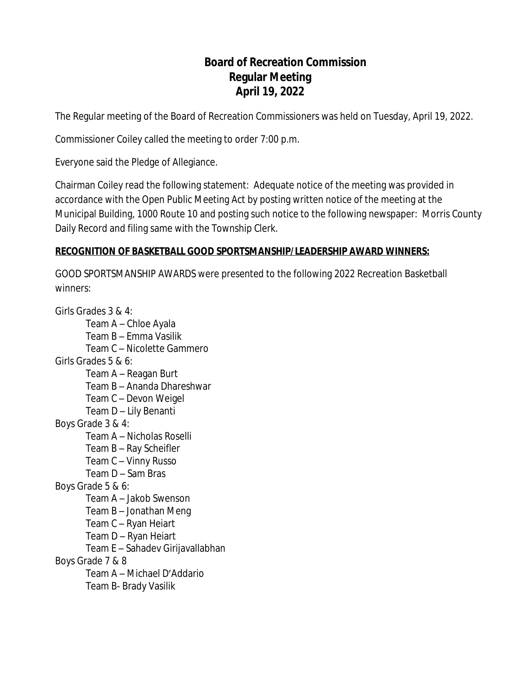# **Board of Recreation Commission Regular Meeting April 19, 2022**

The Regular meeting of the Board of Recreation Commissioners was held on Tuesday, April 19, 2022.

Commissioner Coiley called the meeting to order 7:00 p.m.

Everyone said the Pledge of Allegiance.

Chairman Coiley read the following statement: Adequate notice of the meeting was provided in accordance with the Open Public Meeting Act by posting written notice of the meeting at the Municipal Building, 1000 Route 10 and posting such notice to the following newspaper: Morris County Daily Record and filing same with the Township Clerk.

## **RECOGNITION OF BASKETBALL GOOD SPORTSMANSHIP/LEADERSHIP AWARD WINNERS:**

GOOD SPORTSMANSHIP AWARDS were presented to the following 2022 Recreation Basketball winners:

Girls Grades 3 & 4: Team A – Chloe Ayala Team B – Emma Vasilik Team C – Nicolette Gammero Girls Grades 5 & 6: Team A – Reagan Burt Team B – Ananda Dhareshwar Team C – Devon Weigel Team D – Lily Benanti Boys Grade 3 & 4: Team A – Nicholas Roselli Team B – Ray Scheifler Team C – Vinny Russo Team D – Sam Bras Boys Grade 5 & 6: Team A – Jakob Swenson Team B – Jonathan Meng Team C – Ryan Heiart Team D – Ryan Heiart Team E – Sahadev Girijavallabhan Boys Grade 7 & 8 Team A – Michael D'Addario Team B- Brady Vasilik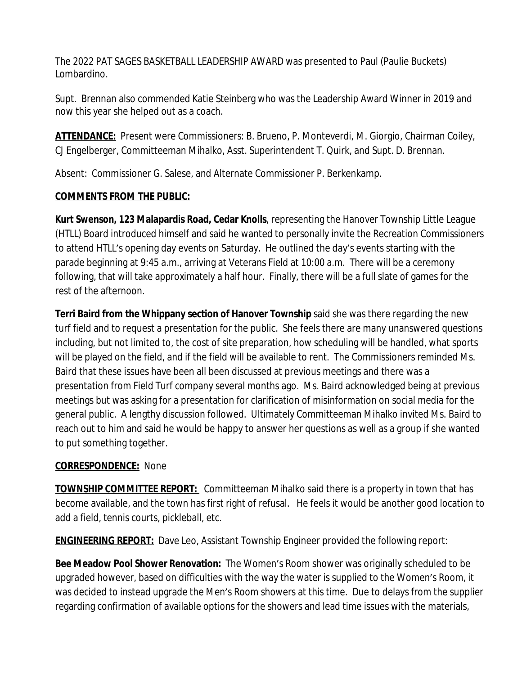The 2022 PAT SAGES BASKETBALL LEADERSHIP AWARD was presented to Paul (Paulie Buckets) Lombardino.

Supt. Brennan also commended Katie Steinberg who was the Leadership Award Winner in 2019 and now this year she helped out as a coach.

**ATTENDANCE:** Present were Commissioners: B. Brueno, P. Monteverdi, M. Giorgio, Chairman Coiley, CJ Engelberger, Committeeman Mihalko, Asst. Superintendent T. Quirk, and Supt. D. Brennan.

Absent: Commissioner G. Salese, and Alternate Commissioner P. Berkenkamp.

## **COMMENTS FROM THE PUBLIC:**

**Kurt Swenson, 123 Malapardis Road, Cedar Knolls**, representing the Hanover Township Little League (HTLL) Board introduced himself and said he wanted to personally invite the Recreation Commissioners to attend HTLL's opening day events on Saturday. He outlined the day's events starting with the parade beginning at 9:45 a.m., arriving at Veterans Field at 10:00 a.m. There will be a ceremony following, that will take approximately a half hour. Finally, there will be a full slate of games for the rest of the afternoon.

**Terri Baird from the Whippany section of Hanover Township** said she was there regarding the new turf field and to request a presentation for the public. She feels there are many unanswered questions including, but not limited to, the cost of site preparation, how scheduling will be handled, what sports will be played on the field, and if the field will be available to rent. The Commissioners reminded Ms. Baird that these issues have been all been discussed at previous meetings and there was a presentation from Field Turf company several months ago. Ms. Baird acknowledged being at previous meetings but was asking for a presentation for clarification of misinformation on social media for the general public. A lengthy discussion followed. Ultimately Committeeman Mihalko invited Ms. Baird to reach out to him and said he would be happy to answer her questions as well as a group if she wanted to put something together.

## **CORRESPONDENCE:** None

**TOWNSHIP COMMITTEE REPORT:** Committeeman Mihalko said there is a property in town that has become available, and the town has first right of refusal. He feels it would be another good location to add a field, tennis courts, pickleball, etc.

**ENGINEERING REPORT:** Dave Leo, Assistant Township Engineer provided the following report:

**Bee Meadow Pool Shower Renovation:** The Women's Room shower was originally scheduled to be upgraded however, based on difficulties with the way the water is supplied to the Women's Room, it was decided to instead upgrade the Men's Room showers at this time. Due to delays from the supplier regarding confirmation of available options for the showers and lead time issues with the materials,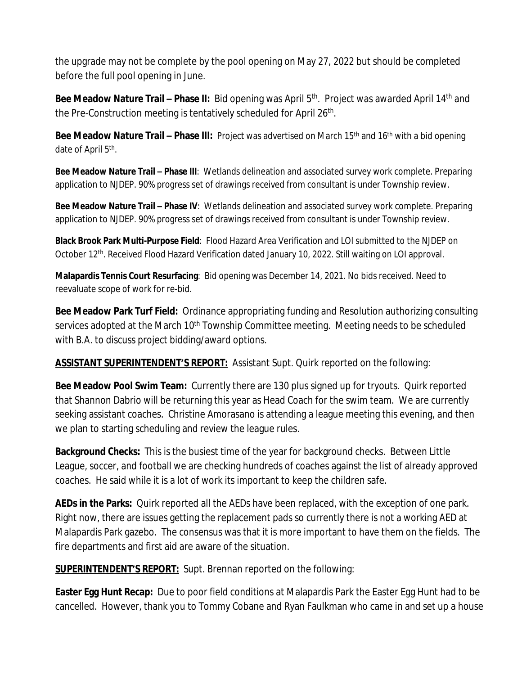the upgrade may not be complete by the pool opening on May 27, 2022 but should be completed before the full pool opening in June.

**Bee Meadow Nature Trail – Phase II:** Bid opening was April 5<sup>th</sup>. Project was awarded April 14<sup>th</sup> and the Pre-Construction meeting is tentatively scheduled for April 26<sup>th</sup>.

**Bee Meadow Nature Trail – Phase III:** Project was advertised on March 15<sup>th</sup> and 16<sup>th</sup> with a bid opening date of April 5<sup>th</sup>.

**Bee Meadow Nature Trail – Phase III**: Wetlands delineation and associated survey work complete. Preparing application to NJDEP. 90% progress set of drawings received from consultant is under Township review.

**Bee Meadow Nature Trail – Phase IV**: Wetlands delineation and associated survey work complete. Preparing application to NJDEP. 90% progress set of drawings received from consultant is under Township review.

**Black Brook Park Multi-Purpose Field**: Flood Hazard Area Verification and LOI submitted to the NJDEP on October 12th. Received Flood Hazard Verification dated January 10, 2022. Still waiting on LOI approval.

**Malapardis Tennis Court Resurfacing**: Bid opening was December 14, 2021. No bids received. Need to reevaluate scope of work for re-bid.

**Bee Meadow Park Turf Field:** Ordinance appropriating funding and Resolution authorizing consulting services adopted at the March 10<sup>th</sup> Township Committee meeting. Meeting needs to be scheduled with B.A. to discuss project bidding/award options.

**ASSISTANT SUPERINTENDENT'S REPORT:** Assistant Supt. Quirk reported on the following:

**Bee Meadow Pool Swim Team:** Currently there are 130 plus signed up for tryouts. Quirk reported that Shannon Dabrio will be returning this year as Head Coach for the swim team. We are currently seeking assistant coaches. Christine Amorasano is attending a league meeting this evening, and then we plan to starting scheduling and review the league rules.

**Background Checks:** This is the busiest time of the year for background checks. Between Little League, soccer, and football we are checking hundreds of coaches against the list of already approved coaches. He said while it is a lot of work its important to keep the children safe.

**AEDs in the Parks:** Quirk reported all the AEDs have been replaced, with the exception of one park. Right now, there are issues getting the replacement pads so currently there is not a working AED at Malapardis Park gazebo. The consensus was that it is more important to have them on the fields. The fire departments and first aid are aware of the situation.

**SUPERINTENDENT'S REPORT:** Supt. Brennan reported on the following:

**Easter Egg Hunt Recap:** Due to poor field conditions at Malapardis Park the Easter Egg Hunt had to be cancelled. However, thank you to Tommy Cobane and Ryan Faulkman who came in and set up a house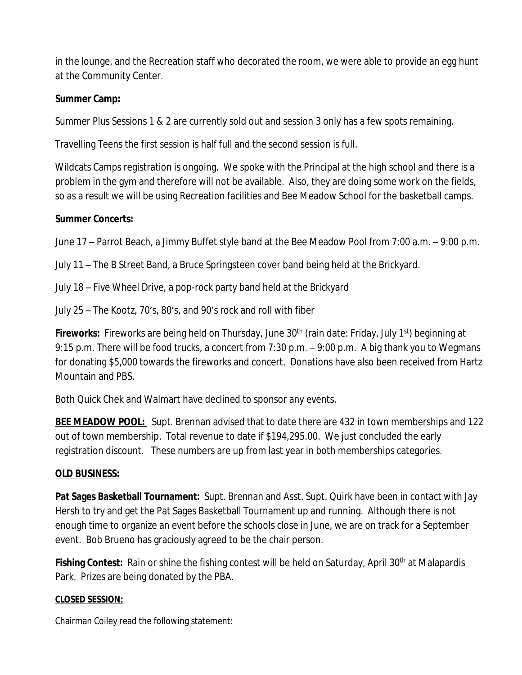in the lounge, and the Recreation staff who decorated the room, we were able to provide an egg hunt at the Community Center.

#### **Summer Camp:**

Summer Plus Sessions 1 & 2 are currently sold out and session 3 only has a few spots remaining.

Travelling Teens the first session is half full and the second session is full.

Wildcats Camps registration is ongoing. We spoke with the Principal at the high school and there is a problem in the gym and therefore will not be available. Also, they are doing some work on the fields, so as a result we will be using Recreation facilities and Bee Meadow School for the basketball camps.

#### **Summer Concerts:**

June 17 – Parrot Beach, a Jimmy Buffet style band at the Bee Meadow Pool from 7:00 a.m. – 9:00 p.m.

July 11 – The B Street Band, a Bruce Springsteen cover band being held at the Brickyard.

July 18 – Five Wheel Drive, a pop-rock party band held at the Brickyard

July 25 – The Kootz, 70's, 80's, and 90's rock and roll with fiber

**Fireworks:** Fireworks are being held on Thursday, June 30<sup>th</sup> (rain date: Friday, July 1<sup>st</sup>) beginning at 9:15 p.m. There will be food trucks, a concert from 7:30 p.m. – 9:00 p.m. A big thank you to Wegmans for donating \$5,000 towards the fireworks and concert. Donations have also been received from Hartz Mountain and PBS.

Both Quick Chek and Walmart have declined to sponsor any events.

**BEE MEADOW POOL:** Supt. Brennan advised that to date there are 432 in town memberships and 122 out of town membership. Total revenue to date if \$194,295.00. We just concluded the early registration discount. These numbers are up from last year in both memberships categories.

#### **OLD BUSINESS:**

**Pat Sages Basketball Tournament:** Supt. Brennan and Asst. Supt. Quirk have been in contact with Jay Hersh to try and get the Pat Sages Basketball Tournament up and running. Although there is not enough time to organize an event before the schools close in June, we are on track for a September event. Bob Brueno has graciously agreed to be the chair person.

**Fishing Contest:** Rain or shine the fishing contest will be held on Saturday, April 30<sup>th</sup> at Malapardis Park. Prizes are being donated by the PBA.

#### **CLOSED SESSION:**

Chairman Coiley read the following statement: